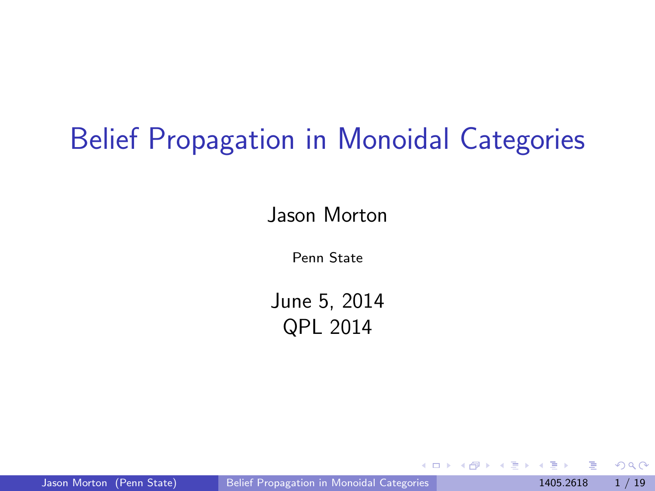## Belief Propagation in Monoidal Categories

Jason Morton

Penn State

June 5, 2014 QPL 2014

<span id="page-0-0"></span> $QQQ$ 

4. 医 3. 1

4 **D** F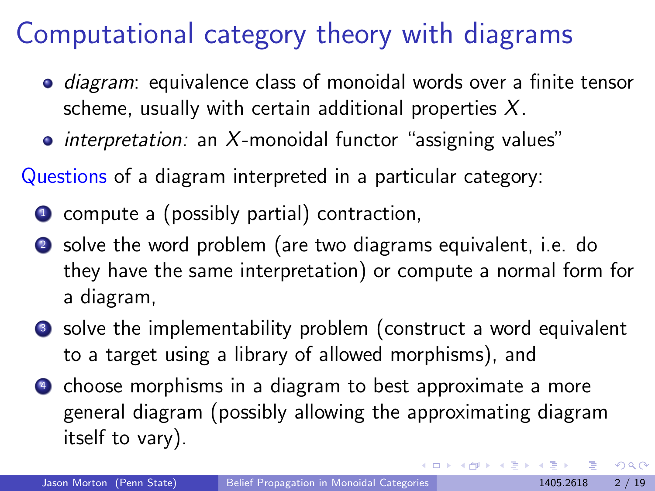### Computational category theory with diagrams

- *diagram*: equivalence class of monoidal words over a finite tensor scheme, usually with certain additional properties  $X$ .
- interpretation: an X-monoidal functor "assigning values"

Questions of a diagram interpreted in a particular category:

- **1** compute a (possibly partial) contraction,
- <sup>2</sup> solve the word problem (are two diagrams equivalent, i.e. do they have the same interpretation) or compute a normal form for a diagram,
- <sup>3</sup> solve the implementability problem (construct a word equivalent to a target using a library of allowed morphisms), and
- **4** choose morphisms in a diagram to best approximate a more general diagram (possibly allowing the approximating diagram itself to vary).

 $\Omega$ 

→ 何 ト → ヨ ト → ヨ ト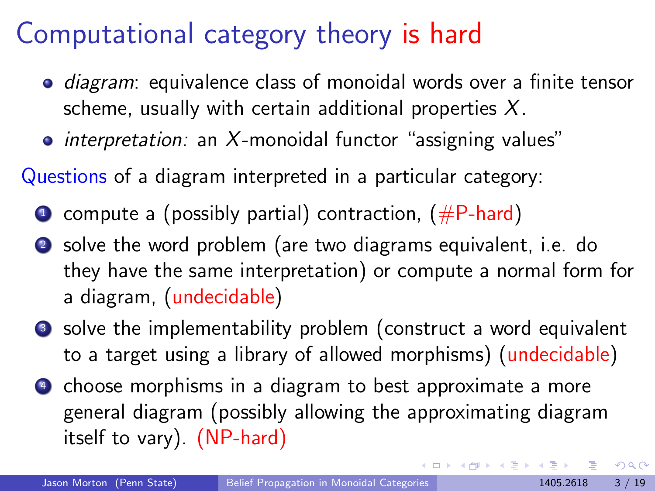### Computational category theory is hard

- *diagram*: equivalence class of monoidal words over a finite tensor scheme, usually with certain additional properties  $X$ .
- interpretation: an X-monoidal functor "assigning values"

Questions of a diagram interpreted in a particular category:

- $\bullet$  compute a (possibly partial) contraction, ( $#P$ -hard)
- <sup>2</sup> solve the word problem (are two diagrams equivalent, i.e. do they have the same interpretation) or compute a normal form for a diagram, (undecidable)
- <sup>3</sup> solve the implementability problem (construct a word equivalent to a target using a library of allowed morphisms) (undecidable)
- **4** choose morphisms in a diagram to best approximate a more general diagram (possibly allowing the approximating diagram itself to vary). (NP-hard)

 $\Omega$ 

イロト イ部 トメ ヨ トメ ヨト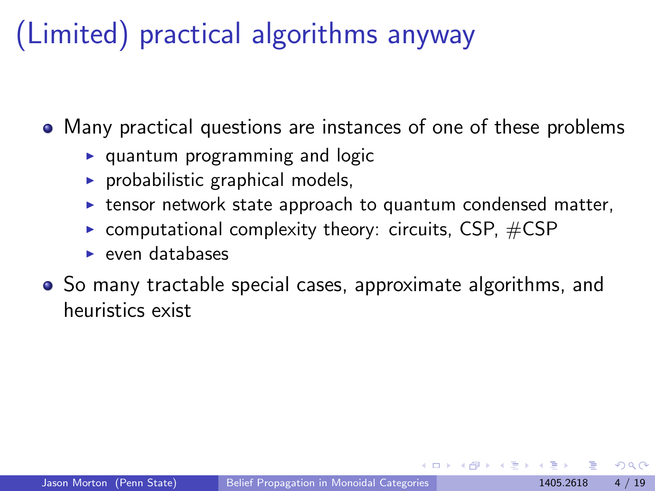# (Limited) practical algorithms anyway

Many practical questions are instances of one of these problems

- $\triangleright$  quantum programming and logic
- $\triangleright$  probabilistic graphical models,
- $\triangleright$  tensor network state approach to quantum condensed matter,
- $\triangleright$  computational complexity theory: circuits, CSP,  $\#CSP$
- $\blacktriangleright$  even databases
- So many tractable special cases, approximate algorithms, and heuristics exist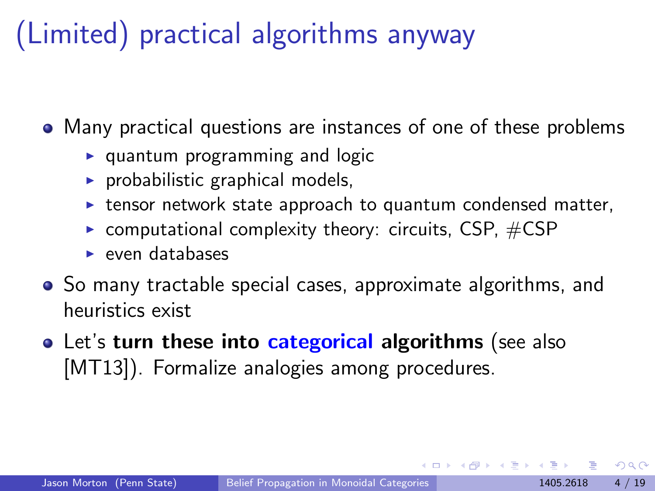# (Limited) practical algorithms anyway

Many practical questions are instances of one of these problems

- $\triangleright$  quantum programming and logic
- $\triangleright$  probabilistic graphical models,
- $\triangleright$  tensor network state approach to quantum condensed matter,
- $\triangleright$  computational complexity theory: circuits, CSP,  $\#CSP$
- $\blacktriangleright$  even databases
- So many tractable special cases, approximate algorithms, and heuristics exist
- Let's turn these into categorical algorithms (see also [\[MT13\]](#page-29-0)). Formalize analogies among procedures.

 $\Omega$ 

→ 伊 ▶ → 君 ▶ → 君 ▶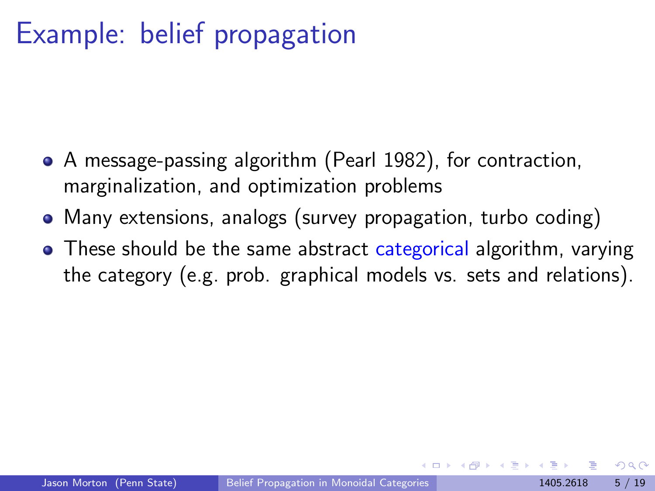## Example: belief propagation

- A message-passing algorithm (Pearl 1982), for contraction, marginalization, and optimization problems
- Many extensions, analogs (survey propagation, turbo coding)
- These should be the same abstract categorical algorithm, varying the category (e.g. prob. graphical models vs. sets and relations).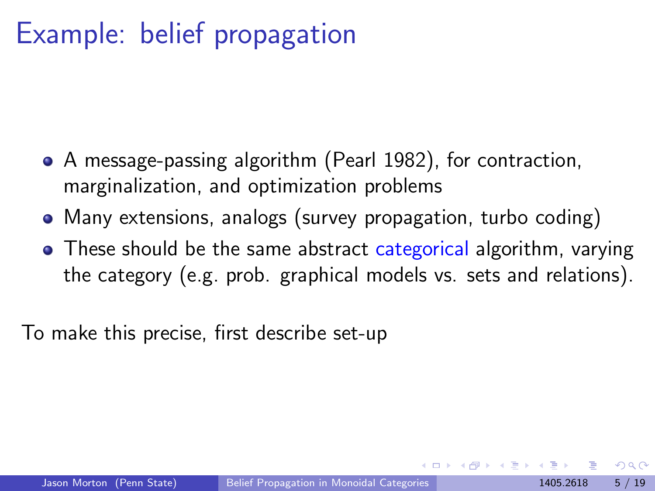## Example: belief propagation

- A message-passing algorithm (Pearl 1982), for contraction, marginalization, and optimization problems
- Many extensions, analogs (survey propagation, turbo coding)
- These should be the same abstract categorical algorithm, varying the category (e.g. prob. graphical models vs. sets and relations).

To make this precise, first describe set-up

<span id="page-6-0"></span>つひひ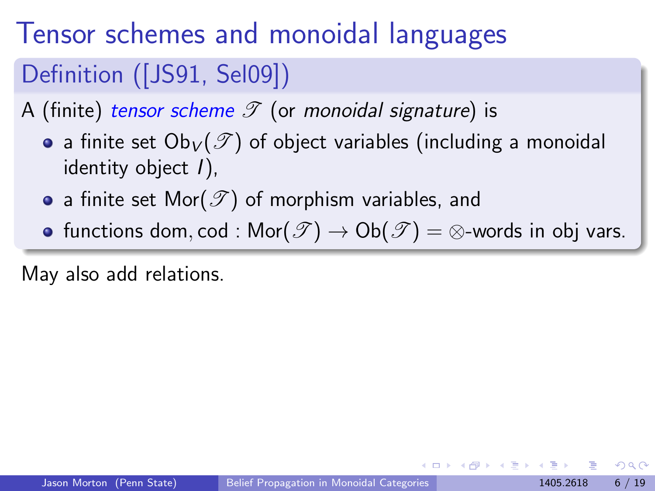# Tensor schemes and monoidal languages

#### Definition ([\[JS91,](#page-27-0) [Sel09\]](#page-29-1))

A (finite) tensor scheme  $\mathscr T$  (or monoidal signature) is

- a finite set  $Ob_V(\mathscr{T})$  of object variables (including a monoidal identity object I),
- a finite set Mor( $\mathscr{T}$ ) of morphism variables, and
- <span id="page-7-0"></span>• functions dom, cod :  $\mathsf{Mor}(\mathscr{T}) \to \mathsf{Ob}(\mathscr{T}) = \otimes$ -words in obj vars.

May also add relations.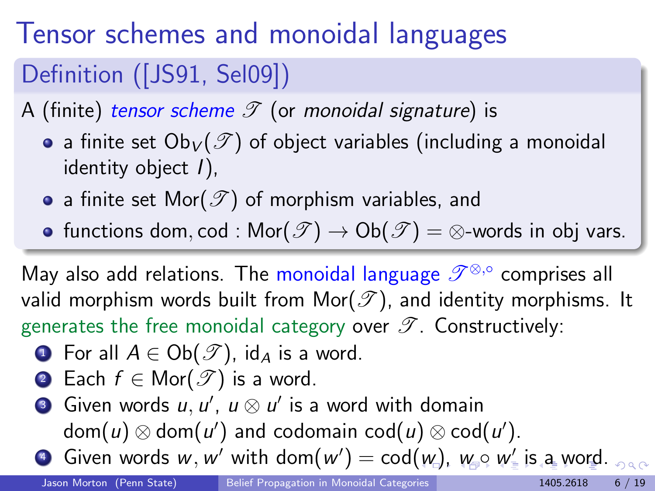# Tensor schemes and monoidal languages

#### Definition ([\[JS91,](#page-27-0) [Sel09\]](#page-29-1))

A (finite) tensor scheme  $\mathscr T$  (or monoidal signature) is

- a finite set  $Ob_V(\mathscr{T})$  of object variables (including a monoidal identity object I),
- a finite set Mor( $\mathscr{T}$ ) of morphism variables, and
- functions dom, cod :  $\mathsf{Mor}(\mathscr{T}) \to \mathsf{Ob}(\mathscr{T}) = \otimes$ -words in obj vars.

May also add relations. The monoidal language  $\mathscr{T}^{\otimes,\circ}$  comprises all valid morphism words built from Mor( $\mathscr T$ ), and identity morphisms. It generates the free monoidal category over  $\mathscr{T}$ . Constructively:

- **1** For all  $A \in Ob(\mathscr{T})$ , id<sub>A</sub> is a word.
- 2 Each  $f \in \text{Mor}(\mathscr{T})$  is a word.

<span id="page-8-0"></span>**3** Given words  $u, u', \ u \otimes u'$  is a word with domain  $\mathsf{dom}(u) \otimes \mathsf{dom}(u')$  and codomain  $\mathsf{cod}(u) \otimes \mathsf{cod}(u').$  $\bullet$  Given [w](#page-20-0)ords $w,w'$  with dom $(w')=\mathsf{cod}(w)$  $(w')=\mathsf{cod}(w)$  $(w')=\mathsf{cod}(w)$ ,  $w_\bullet \circ w'_\bullet$  [is](#page-17-0) a w[or](#page-0-0)[d.](#page-30-0)  $000$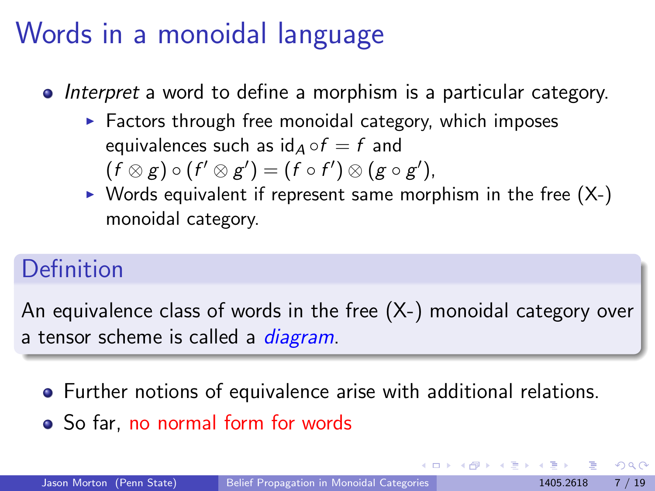## Words in a monoidal language

- Interpret a word to define a morphism is a particular category.
	- $\blacktriangleright$  Factors through free monoidal category, which imposes equivalences such as  $id_A \circ f = f$  and  $(f \otimes g) \circ (f' \otimes g') = (f \circ f') \otimes (g \circ g'),$
	- $\triangleright$  Words equivalent if represent same morphism in the free  $(X-)$ monoidal category.

#### Definition

An equivalence class of words in the free (X-) monoidal category over a tensor scheme is called a *diagram*.

- Further notions of equivalence arise with additional relations.
- So far, no normal form for words

<span id="page-9-0"></span> $\Omega$ 

医毛囊 医牙骨下的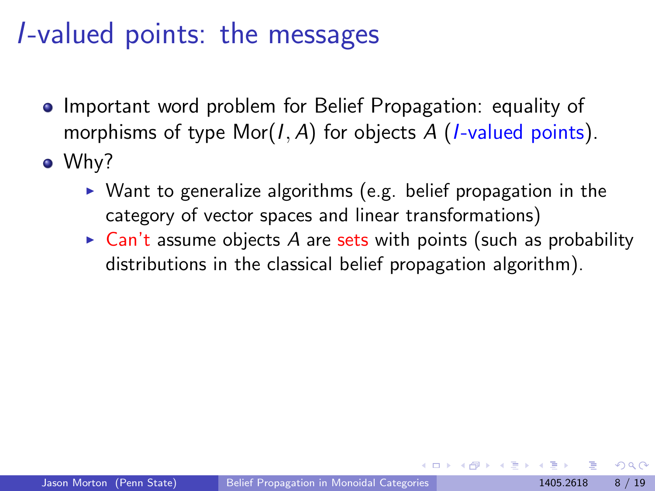## I-valued points: the messages

- Important word problem for Belief Propagation: equality of morphisms of type  $Mor(I, A)$  for objects A (*I*-valued points).
- Why?
	- $\triangleright$  Want to generalize algorithms (e.g. belief propagation in the category of vector spaces and linear transformations)
	- $\triangleright$  Can't assume objects A are sets with points (such as probability distributions in the classical belief propagation algorithm).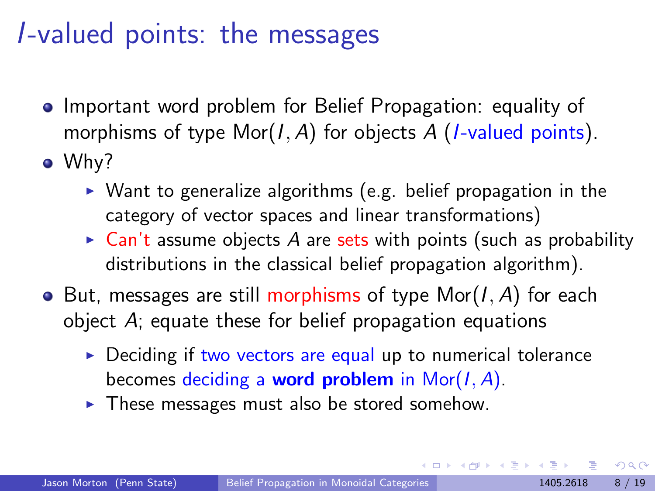## I-valued points: the messages

- Important word problem for Belief Propagation: equality of morphisms of type  $Mor(I, A)$  for objects A (*I*-valued points).
- Why?
	- $\triangleright$  Want to generalize algorithms (e.g. belief propagation in the category of vector spaces and linear transformations)
	- $\triangleright$  Can't assume objects A are sets with points (such as probability distributions in the classical belief propagation algorithm).
- $\bullet$  But, messages are still morphisms of type Mor(I, A) for each object A; equate these for belief propagation equations
	- $\triangleright$  Deciding if two vectors are equal up to numerical tolerance becomes deciding a **word problem** in Mor $(I, A)$ .
	- $\blacktriangleright$  These messages must also be stored somehow.

 $\Omega$ 

 $\mathbf{A} \oplus \mathbf{B}$   $\mathbf{A} \oplus \mathbf{B}$   $\mathbf{A} \oplus \mathbf{B}$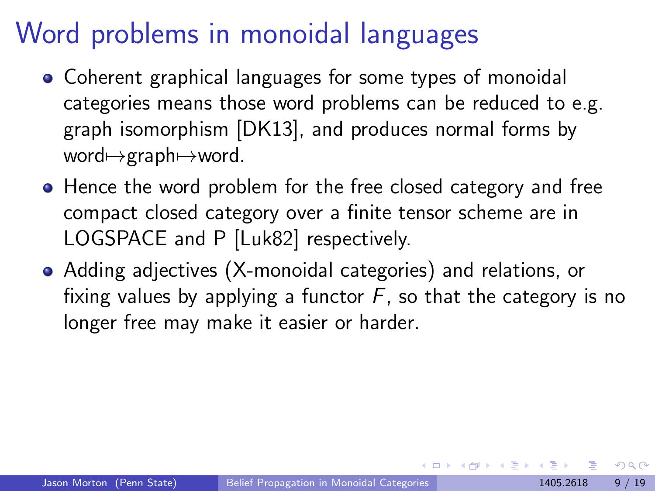## Word problems in monoidal languages

- Coherent graphical languages for some types of monoidal categories means those word problems can be reduced to e.g. graph isomorphism [\[DK13\]](#page-27-1), and produces normal forms by word $\mapsto$ graph $\mapsto$ word.
- Hence the word problem for the free closed category and free compact closed category over a finite tensor scheme are in LOGSPACE and P [\[Luk82\]](#page-28-0) respectively.
- Adding adjectives (X-monoidal categories) and relations, or fixing values by applying a functor  $F$ , so that the category is no longer free may make it easier or harder.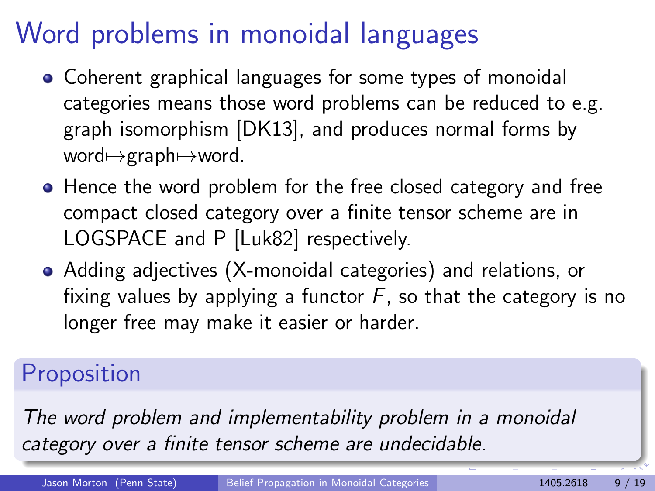# Word problems in monoidal languages

- Coherent graphical languages for some types of monoidal categories means those word problems can be reduced to e.g. graph isomorphism [\[DK13\]](#page-27-1), and produces normal forms by word $\mapsto$ graph $\mapsto$ word.
- Hence the word problem for the free closed category and free compact closed category over a finite tensor scheme are in LOGSPACE and P [\[Luk82\]](#page-28-0) respectively.
- Adding adjectives (X-monoidal categories) and relations, or fixing values by applying a functor  $F$ , so that the category is no longer free may make it easier or harder.

#### **Proposition**

The word problem and implementability problem in a monoidal category over a finite tensor scheme are undecidable.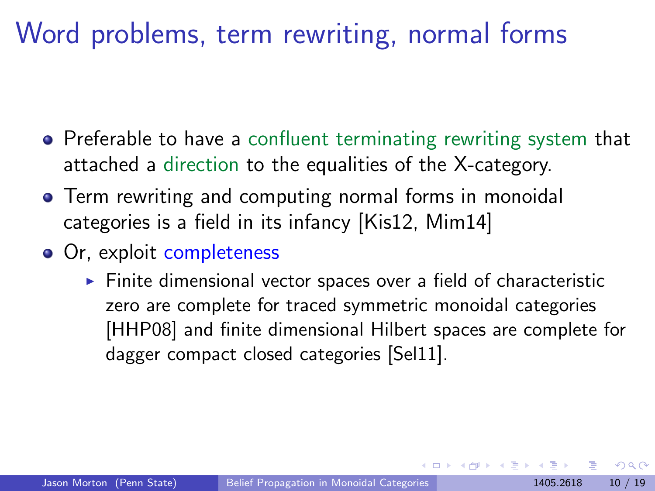## Word problems, term rewriting, normal forms

- Preferable to have a confluent terminating rewriting system that attached a direction to the equalities of the X-category.
- **•** Term rewriting and computing normal forms in monoidal categories is a field in its infancy [\[Kis12,](#page-28-1) [Mim14\]](#page-28-2)
- Or, exploit completeness
	- $\triangleright$  Finite dimensional vector spaces over a field of characteristic zero are complete for traced symmetric monoidal categories [\[HHP08\]](#page-27-2) and finite dimensional Hilbert spaces are complete for dagger compact closed categories [\[Sel11\]](#page-29-2).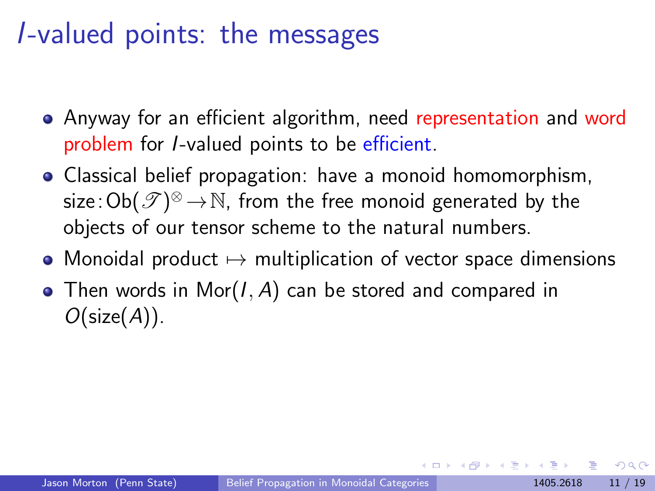## I-valued points: the messages

- Anyway for an efficient algorithm, need representation and word problem for I-valued points to be efficient.
- Classical belief propagation: have a monoid homomorphism, size: $\mathsf{Ob}(\mathscr{T})^\otimes \,{\to}\, \mathbb{N}$ , from the free monoid generated by the objects of our tensor scheme to the natural numbers.
- Monoidal product  $\mapsto$  multiplication of vector space dimensions
- Then words in Mor $(I, A)$  can be stored and compared in  $O(\text{size}(A)).$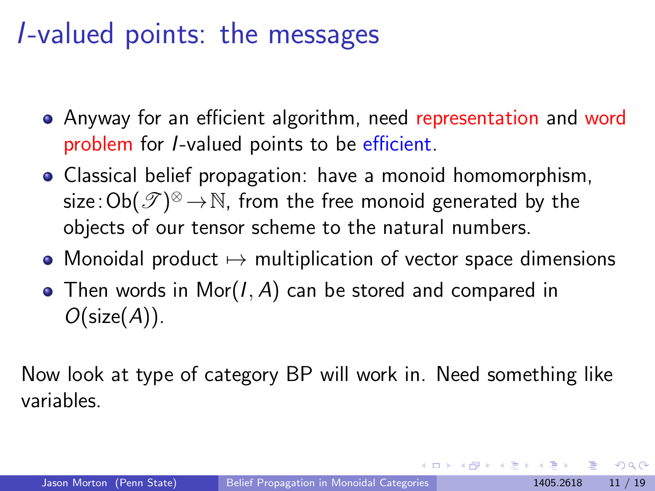## I-valued points: the messages

- Anyway for an efficient algorithm, need representation and word problem for I-valued points to be efficient.
- Classical belief propagation: have a monoid homomorphism, size: $\mathsf{Ob}(\mathscr{T})^\otimes \,{\to}\, \mathbb{N}$ , from the free monoid generated by the objects of our tensor scheme to the natural numbers.
- Monoidal product  $\mapsto$  multiplication of vector space dimensions
- Then words in Mor $(I, A)$  can be stored and compared in  $O(\text{size}(A)).$

<span id="page-16-0"></span>Now look at type of category BP will work in. Need something like variables.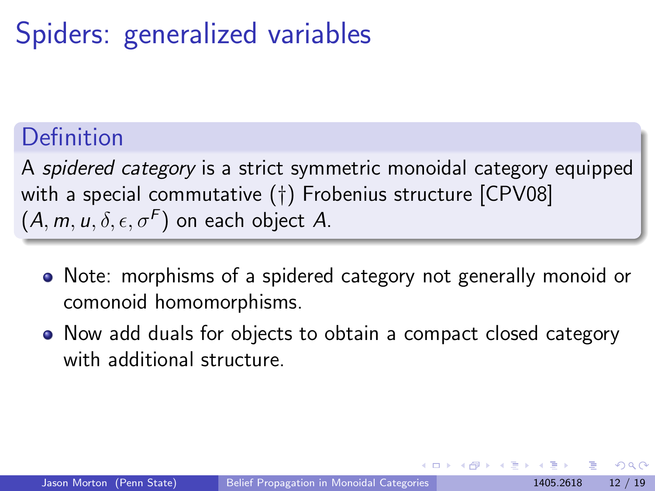## Spiders: generalized variables

#### **Definition**

A spidered category is a strict symmetric monoidal category equipped with a special commutative (†) Frobenius structure [\[CPV08\]](#page-27-3)  $(A, m, u, \delta, \epsilon, \sigma^F)$  on each object A.

- Note: morphisms of a spidered category not generally monoid or comonoid homomorphisms.
- Now add duals for objects to obtain a compact closed category with additional structure.

<span id="page-17-0"></span>つひひ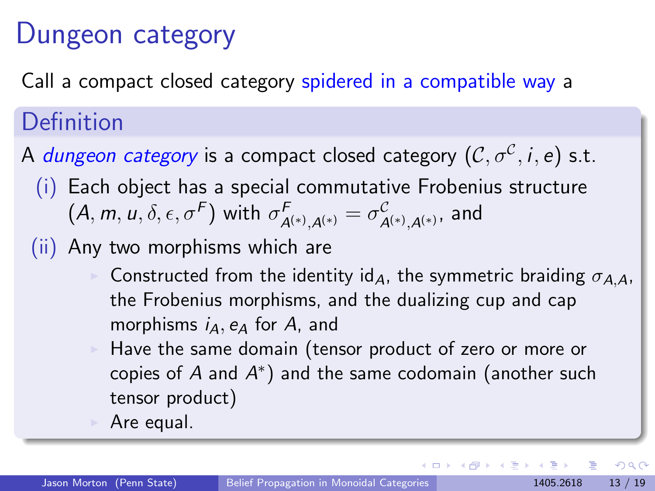## Dungeon category

Call a compact closed category spidered in a compatible way a

#### Definition

A  $d$ ungeon category is a compact closed category  $(\mathcal{C}, \sigma^\mathcal{C}, i, e)$  s.t.

- (i) Each object has a special commutative Frobenius structure  $(A,m,u,\delta,\epsilon,\sigma^F)$  with  $\sigma_{\mathcal{A}^{(*)},\mathcal{A}^{(*)}}^F=\sigma_{\mathcal{A}^{(*)},\mathcal{A}^{(*)}}^{\mathcal{C}}$  , and
- (ii) Any two morphisms which are
	- Constructed from the identity id<sub>A</sub>, the symmetric braiding  $\sigma_{A,A}$ , the Frobenius morphisms, and the dualizing cup and cap morphisms  $i_A$ ,  $e_A$  for A, and
	- Have the same domain (tensor product of zero or more or copies of  $A$  and  $A^*$ ) and the same codomain (another such tensor product)
	- Are equal.

 $\Omega$ 

イロメ イ母メ イヨメ イヨ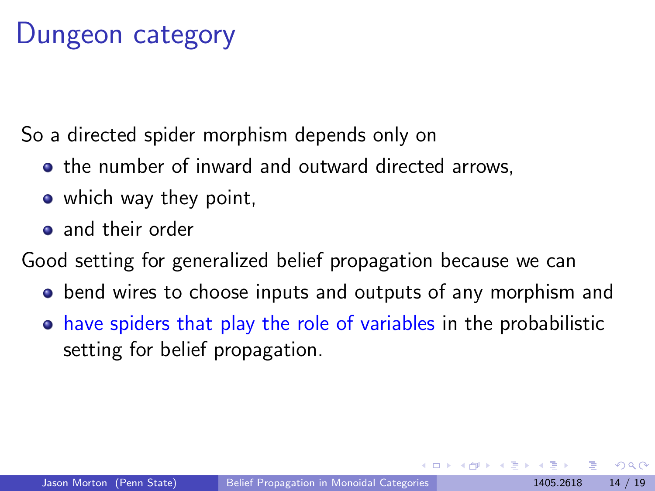## Dungeon category

So a directed spider morphism depends only on

- **•** the number of inward and outward directed arrows,
- which way they point,
- **a** and their order

Good setting for generalized belief propagation because we can

- bend wires to choose inputs and outputs of any morphism and
- have spiders that play the role of variables in the probabilistic setting for belief propagation.

<span id="page-19-0"></span>つひひ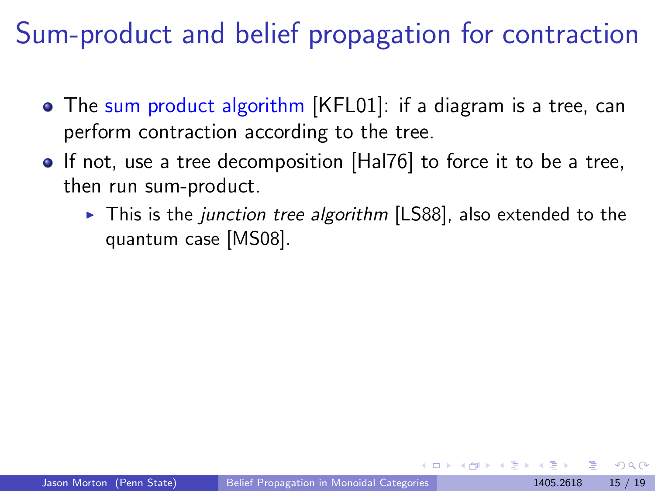# Sum-product and belief propagation for contraction

- The sum product algorithm [\[KFL01\]](#page-28-3): if a diagram is a tree, can perform contraction according to the tree.
- If not, use a tree decomposition [\[Hal76\]](#page-27-4) to force it to be a tree, then run sum-product.
	- $\triangleright$  This is the junction tree algorithm [\[LS88\]](#page-28-4), also extended to the quantum case [\[MS08\]](#page-29-3).

<span id="page-20-0"></span>つひひ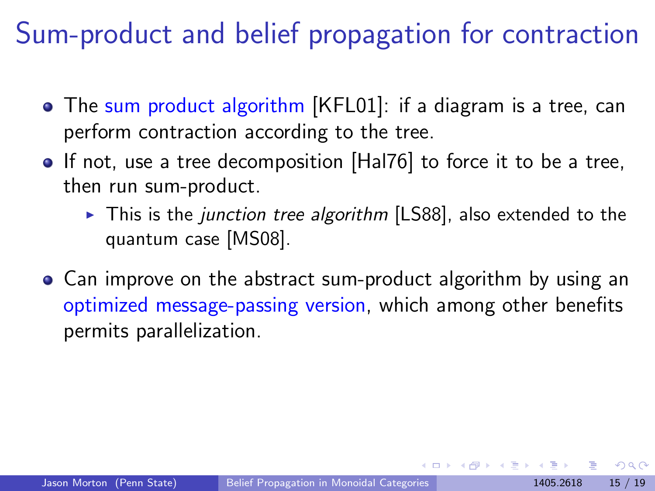# Sum-product and belief propagation for contraction

- The sum product algorithm [\[KFL01\]](#page-28-3): if a diagram is a tree, can perform contraction according to the tree.
- If not, use a tree decomposition [\[Hal76\]](#page-27-4) to force it to be a tree, then run sum-product.
	- $\triangleright$  This is the junction tree algorithm [\[LS88\]](#page-28-4), also extended to the quantum case [\[MS08\]](#page-29-3).
- Can improve on the abstract sum-product algorithm by using an optimized message-passing version, which among other benefits permits parallelization.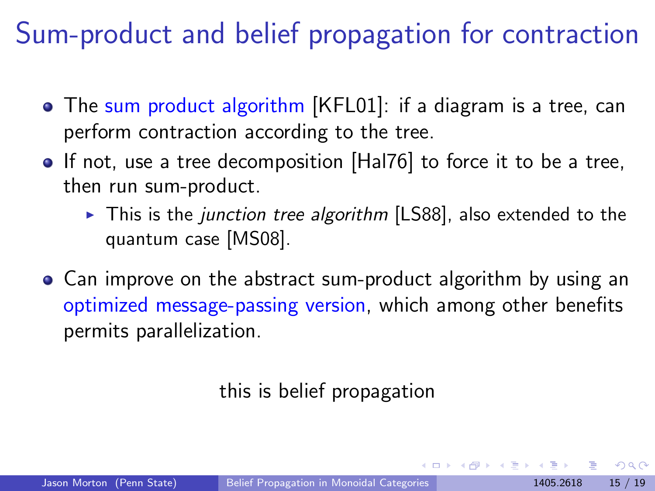# Sum-product and belief propagation for contraction

- The sum product algorithm [\[KFL01\]](#page-28-3): if a diagram is a tree, can perform contraction according to the tree.
- If not, use a tree decomposition [\[Hal76\]](#page-27-4) to force it to be a tree, then run sum-product.
	- $\triangleright$  This is the junction tree algorithm [\[LS88\]](#page-28-4), also extended to the quantum case [\[MS08\]](#page-29-3).
- Can improve on the abstract sum-product algorithm by using an optimized message-passing version, which among other benefits permits parallelization.

this is belief propagation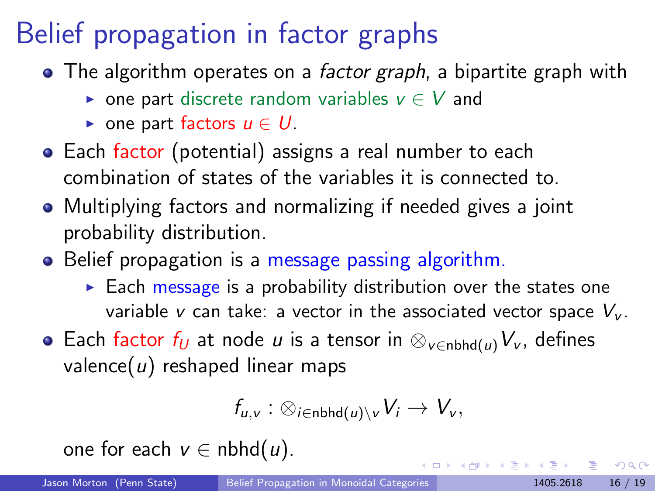# Belief propagation in factor graphs

- The algorithm operates on a *factor graph*, a bipartite graph with
	- $\triangleright$  one part discrete random variables  $v \in V$  and
	- one part factors  $u \in U$ .
- Each factor (potential) assigns a real number to each combination of states of the variables it is connected to.
- Multiplying factors and normalizing if needed gives a joint probability distribution.
- Belief propagation is a message passing algorithm.
	- $\triangleright$  Each message is a probability distribution over the states one variable v can take: a vector in the associated vector space  $V_{\nu}$ .
- Each factor  $f_U$  at node u is a tensor in  $\otimes_{V \in \text{nbhd}(u)} V_V$ , defines valence( $u$ ) reshaped linear maps

$$
f_{u,v}:\otimes_{i\in\mathsf{nbhd}(u)\setminus v}V_i\to V_v,
$$

one for each  $v \in \text{nbhd}(u)$ .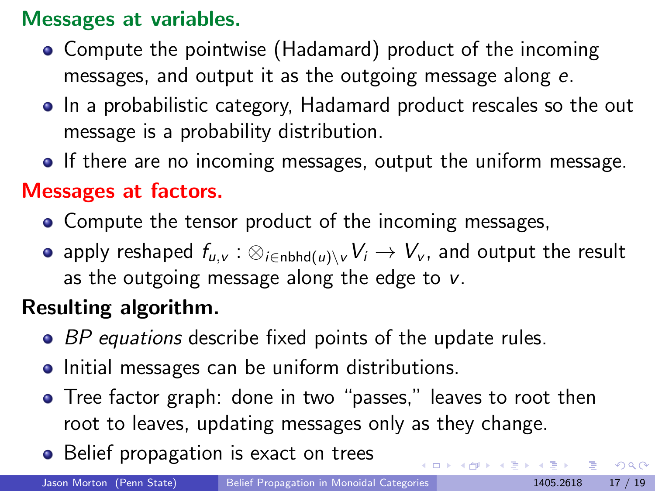#### Messages at variables.

- Compute the pointwise (Hadamard) product of the incoming messages, and output it as the outgoing message along e.
- In a probabilistic category, Hadamard product rescales so the out message is a probability distribution.
- If there are no incoming messages, output the uniform message.

#### Messages at factors.

- Compute the tensor product of the incoming messages,
- apply reshaped  $f_{u,v}$  :  $\otimes_{i\in\text{nbhd}(u)\setminus v}V_i\to V_v$ , and output the result as the outgoing message along the edge to  $v$ .

#### Resulting algorithm.

- BP equations describe fixed points of the update rules.
- Initial messages can be uniform distributions.
- **•** Tree factor graph: done in two "passes," leaves to root then root to leaves, updating messages only as they change.
- Belief propagation is exact on trees

<span id="page-24-0"></span> $QQ$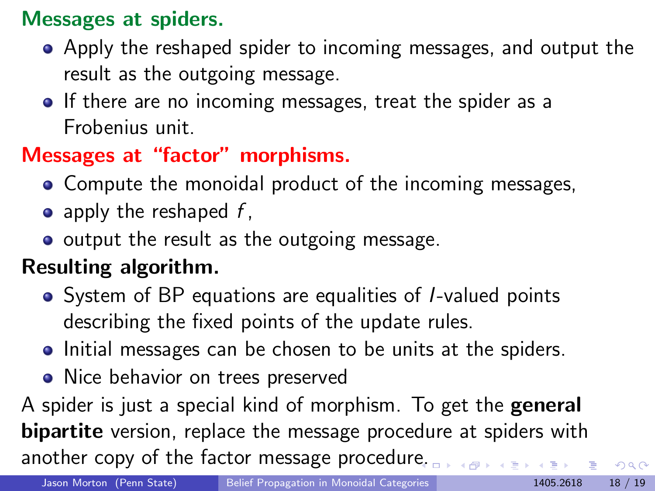#### Messages at spiders.

- Apply the reshaped spider to incoming messages, and output the result as the outgoing message.
- If there are no incoming messages, treat the spider as a Frobenius unit.

#### Messages at "factor" morphisms.

- Compute the monoidal product of the incoming messages,
- $\bullet$  apply the reshaped f,
- output the result as the outgoing message.

#### Resulting algorithm.

- System of BP equations are equalities of *I*-valued points describing the fixed points of the update rules.
- Initial messages can be chosen to be units at the spiders.
- Nice behavior on trees preserved

A spider is just a special kind of morphism. To get the general **bipartite** version, replace the message procedure at spiders with another copy of the factor message procedur[e.](#page-24-0)

 $QQ$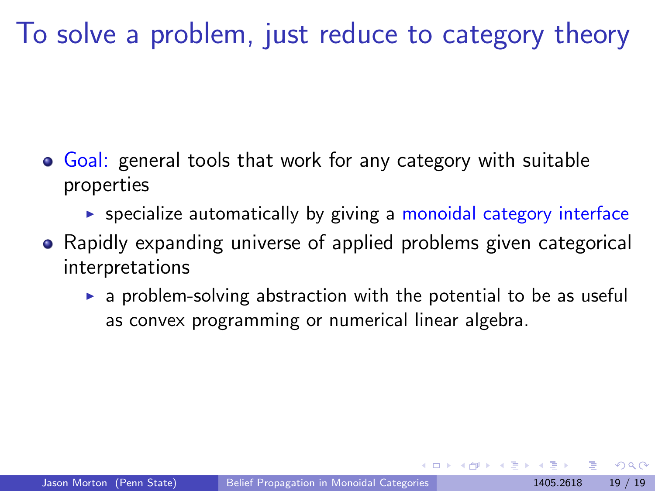## To solve a problem, just reduce to category theory

- **Goal:** general tools that work for any category with suitable properties
	- $\triangleright$  specialize automatically by giving a monoidal category interface
- Rapidly expanding universe of applied problems given categorical interpretations
	- $\triangleright$  a problem-solving abstraction with the potential to be as useful as convex programming or numerical linear algebra.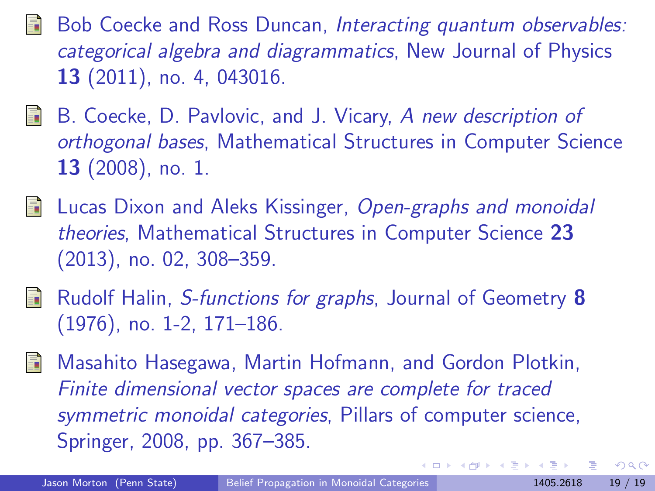- Bob Coecke and Ross Duncan, Interacting quantum observables: categorical algebra and diagrammatics, New Journal of Physics 13 (2011), no. 4, 043016.
- <span id="page-27-3"></span>**B.** Coecke, D. Pavlovic, and J. Vicary, A new description of orthogonal bases, Mathematical Structures in Computer Science 13 (2008), no. 1.
- <span id="page-27-1"></span>**Lucas Dixon and Aleks Kissinger, Open-graphs and monoidal** theories, Mathematical Structures in Computer Science 23 (2013), no. 02, 308–359.
- <span id="page-27-4"></span>Rudolf Halin, S-functions for graphs, Journal of Geometry 8 (1976), no. 1-2, 171–186.
- <span id="page-27-2"></span><span id="page-27-0"></span>Masahito Hasegawa, Martin Hofmann, and Gordon Plotkin, 譶 Finite dimensional vector spaces are complete for traced symmetric monoidal categories, Pillars of computer science, Springer, 2008, pp. 367–385.

 $\Omega$ 

**K ロ ト K 何 ト K ヨ ト K**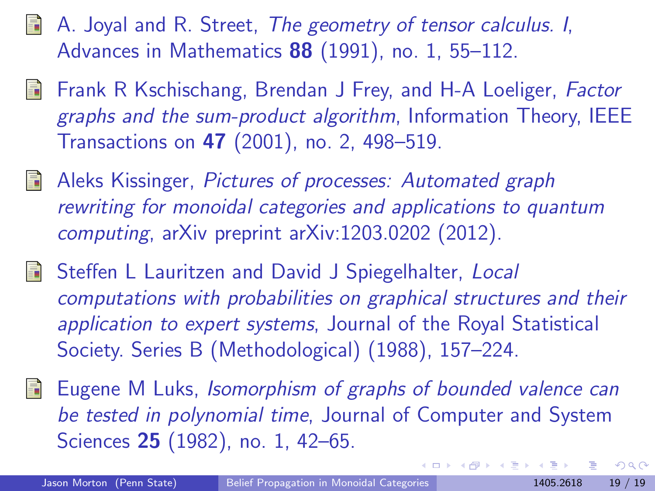- <span id="page-28-3"></span>**A.** Joyal and R. Street, The geometry of tensor calculus. I, Advances in Mathematics 88 (1991), no. 1, 55–112.
	- Frank R Kschischang, Brendan J Frey, and H-A Loeliger, Factor graphs and the sum-product algorithm, Information Theory, IEEE Transactions on 47 (2001), no. 2, 498–519.
- <span id="page-28-1"></span>**Aleks Kissinger, Pictures of processes: Automated graph** rewriting for monoidal categories and applications to quantum computing, arXiv preprint arXiv:1203.0202 (2012).
- <span id="page-28-4"></span>Steffen L Lauritzen and David J Spiegelhalter, Local computations with probabilities on graphical structures and their application to expert systems, Journal of the Royal Statistical Society. Series B (Methodological) (1988), 157–224.
- <span id="page-28-2"></span><span id="page-28-0"></span>**E** Eugene M Luks, Isomorphism of graphs of bounded valence can be tested in polynomial time, Journal of Computer and System Sciences **25** (1982), no. 1, 42–65.

 $\Omega$ 

**K ロ ト K 何 ト K ヨ ト K**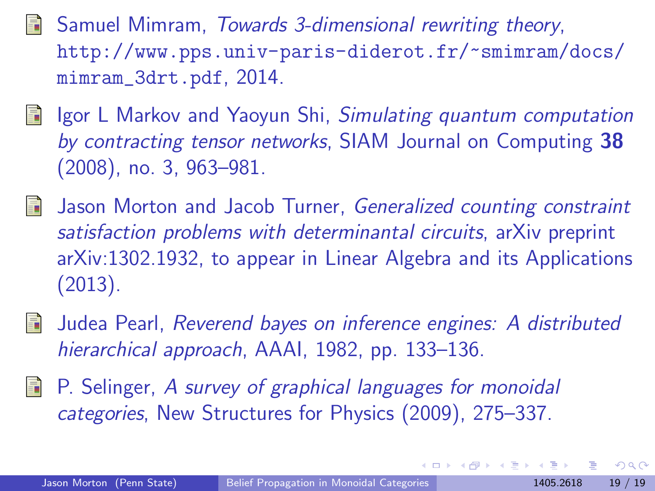- **Samuel Mimram, Towards 3-dimensional rewriting theory,** [http://www.pps.univ-paris-diderot.fr/~smimram/docs/](http://www.pps.univ-paris-diderot.fr/~smimram/docs/mimram_3drt.pdf) [mimram\\_3drt.pdf](http://www.pps.univ-paris-diderot.fr/~smimram/docs/mimram_3drt.pdf), 2014.
- <span id="page-29-3"></span>**I** Igor L Markov and Yaoyun Shi, Simulating quantum computation by contracting tensor networks, SIAM Journal on Computing 38 (2008), no. 3, 963–981.
- <span id="page-29-0"></span>**Jason Morton and Jacob Turner, Generalized counting constraint** satisfaction problems with determinantal circuits, arXiv preprint arXiv:1302.1932, to appear in Linear Algebra and its Applications (2013).
- Judea Pearl, Reverend bayes on inference engines: A distributed hierarchical approach, AAAI, 1982, pp. 133–136.
- <span id="page-29-2"></span><span id="page-29-1"></span>P. Selinger, A survey of graphical languages for monoidal categories, New Structures for Physics (2009), 275–337.

 $\Omega$ 

∢ ロ ▶ ( x 伊 ▶ ( ( 后 ) ( ( 后 )